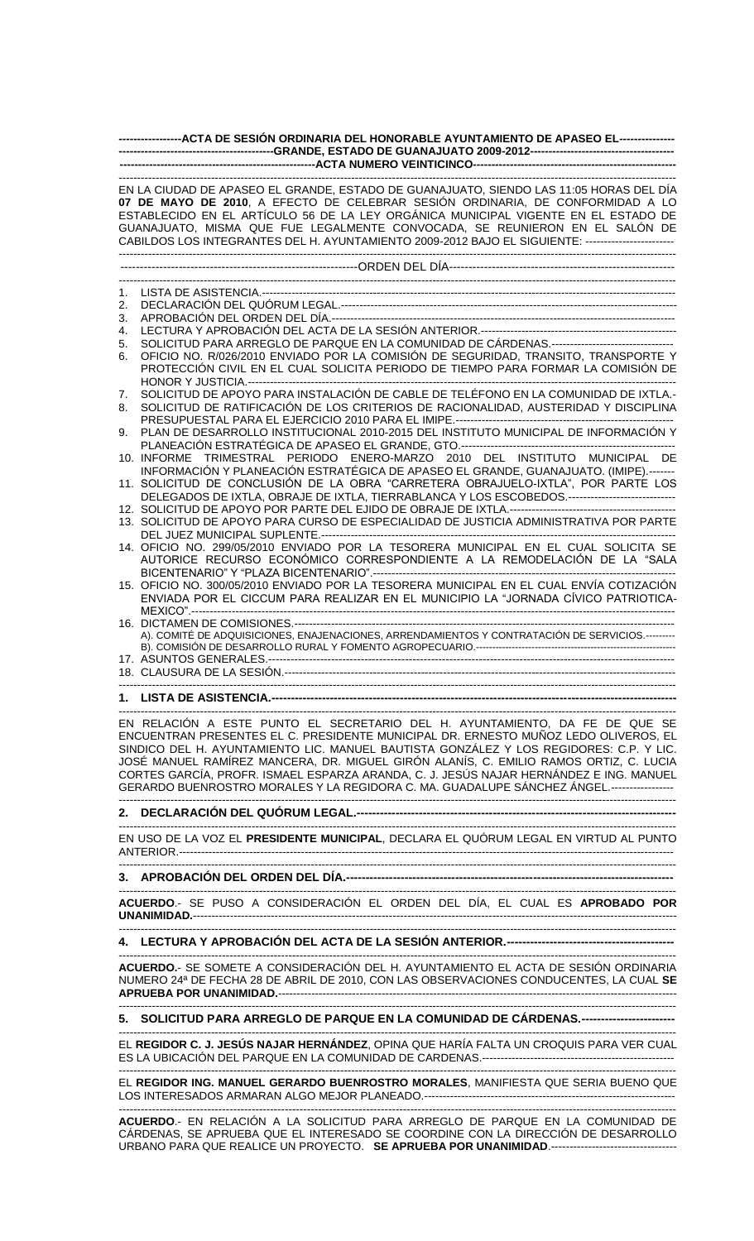|    | -----------------ACTA DE SESIÓN ORDINARIA DEL HONORABLE AYUNTAMIENTO DE APASEO EL---------------                                                                                                                                                                                                                                                                                                                                                     |
|----|------------------------------------------------------------------------------------------------------------------------------------------------------------------------------------------------------------------------------------------------------------------------------------------------------------------------------------------------------------------------------------------------------------------------------------------------------|
|    |                                                                                                                                                                                                                                                                                                                                                                                                                                                      |
|    |                                                                                                                                                                                                                                                                                                                                                                                                                                                      |
|    | EN LA CIUDAD DE APASEO EL GRANDE, ESTADO DE GUANAJUATO, SIENDO LAS 11:05 HORAS DEL DÍA<br>07 DE MAYO DE 2010, A EFECTO DE CELEBRAR SESIÓN ORDINARIA, DE CONFORMIDAD A LO<br>ESTABLECIDO EN EL ARTÍCULO 56 DE LA LEY ORGÁNICA MUNICIPAL VIGENTE EN EL ESTADO DE<br>GUANAJUATO, MISMA QUE FUE LEGALMENTE CONVOCADA, SE REUNIERON EN EL SALÓN DE<br>CABILDOS LOS INTEGRANTES DEL H. AYUNTAMIENTO 2009-2012 BAJO EL SIGUIENTE: ------------------------- |
|    |                                                                                                                                                                                                                                                                                                                                                                                                                                                      |
|    |                                                                                                                                                                                                                                                                                                                                                                                                                                                      |
| 1. |                                                                                                                                                                                                                                                                                                                                                                                                                                                      |
| 2. |                                                                                                                                                                                                                                                                                                                                                                                                                                                      |
| 3. |                                                                                                                                                                                                                                                                                                                                                                                                                                                      |
| 4. |                                                                                                                                                                                                                                                                                                                                                                                                                                                      |
| 5. | SOLICITUD PARA ARREGLO DE PARQUE EN LA COMUNIDAD DE CÁRDENAS.---------------------------------                                                                                                                                                                                                                                                                                                                                                       |
| 6. | OFICIO NO. R/026/2010 ENVIADO POR LA COMISIÓN DE SEGURIDAD, TRANSITO, TRANSPORTE Y<br>PROTECCIÓN CIVIL EN EL CUAL SOLICITA PERIODO DE TIEMPO PARA FORMAR LA COMISIÓN DE                                                                                                                                                                                                                                                                              |
| 7. | SOLICITUD DE APOYO PARA INSTALACIÓN DE CABLE DE TELÉFONO EN LA COMUNIDAD DE IXTLA.-                                                                                                                                                                                                                                                                                                                                                                  |
| 8. | SOLICITUD DE RATIFICACIÓN DE LOS CRITERIOS DE RACIONALIDAD, AUSTERIDAD Y DISCIPLINA                                                                                                                                                                                                                                                                                                                                                                  |
| 9. | PLAN DE DESARROLLO INSTITUCIONAL 2010-2015 DEL INSTITUTO MUNICIPAL DE INFORMACIÓN Y                                                                                                                                                                                                                                                                                                                                                                  |
|    | 10. INFORME TRIMESTRAL PERIODO ENERO-MARZO 2010 DEL INSTITUTO MUNICIPAL DE<br>INFORMACIÓN Y PLANEACIÓN ESTRATÉGICA DE APASEO EL GRANDE, GUANAJUATO. (IMIPE).-------                                                                                                                                                                                                                                                                                  |
|    | 11. SOLICITUD DE CONCLUSIÓN DE LA OBRA "CARRETERA OBRAJUELO-IXTLA", POR PARTE LOS<br>DELEGADOS DE IXTLA, OBRAJE DE IXTLA, TIERRABLANCA Y LOS ESCOBEDOS.-----------------------------                                                                                                                                                                                                                                                                 |
|    | 13. SOLICITUD DE APOYO PARA CURSO DE ESPECIALIDAD DE JUSTICIA ADMINISTRATIVA POR PARTE                                                                                                                                                                                                                                                                                                                                                               |
|    | 14. OFICIO NO. 299/05/2010 ENVIADO POR LA TESORERA MUNICIPAL EN EL CUAL SOLICITA SE<br>AUTORICE RECURSO ECONÓMICO CORRESPONDIENTE A LA REMODELACIÓN DE LA "SALA                                                                                                                                                                                                                                                                                      |
|    |                                                                                                                                                                                                                                                                                                                                                                                                                                                      |
|    | 15. OFICIO NO. 300/05/2010 ENVIADO POR LA TESORERA MUNICIPAL EN EL CUAL ENVÍA COTIZACIÓN<br>ENVIADA POR EL CICCUM PARA REALIZAR EN EL MUNICIPIO LA "JORNADA CÍVICO PATRIOTICA-                                                                                                                                                                                                                                                                       |
|    |                                                                                                                                                                                                                                                                                                                                                                                                                                                      |
|    | A). COMITÉ DE ADQUISICIONES, ENAJENACIONES, ARRENDAMIENTOS Y CONTRATACIÓN DE SERVICIOS.--------                                                                                                                                                                                                                                                                                                                                                      |
|    |                                                                                                                                                                                                                                                                                                                                                                                                                                                      |
|    |                                                                                                                                                                                                                                                                                                                                                                                                                                                      |
|    |                                                                                                                                                                                                                                                                                                                                                                                                                                                      |
|    | EN RELACIÓN A ESTE PUNTO EL SECRETARIO DEL H. AYUNTAMIENTO, DA FE DE QUE SE                                                                                                                                                                                                                                                                                                                                                                          |
|    | ENCUENTRAN PRESENTES EL C. PRESIDENTE MUNICIPAL DR. ERNESTO MUÑOZ LEDO OLIVEROS, EL                                                                                                                                                                                                                                                                                                                                                                  |
|    | SINDICO DEL H. AYUNTAMIENTO LIC. MANUEL BAUTISTA GONZÁLEZ Y LOS REGIDORES: C.P. Y LIC.                                                                                                                                                                                                                                                                                                                                                               |
|    | JOSÉ MANUEL RAMÍREZ MANCERA, DR. MIGUEL GIRÓN ALANÍS, C. EMILIO RAMOS ORTIZ, C. LUCIA                                                                                                                                                                                                                                                                                                                                                                |
|    | CORTES GARCÍA, PROFR. ISMAEL ESPARZA ARANDA, C. J. JESÚS NAJAR HERNÁNDEZ E ING. MANUEL<br>GERARDO BUENROSTRO MORALES Y LA REGIDORA C. MA. GUADALUPE SÁNCHEZ ÁNGEL.----------------                                                                                                                                                                                                                                                                   |
|    |                                                                                                                                                                                                                                                                                                                                                                                                                                                      |
|    | EN USO DE LA VOZ EL PRESIDENTE MUNICIPAL, DECLARA EL QUÓRUM LEGAL EN VIRTUD AL PUNTO                                                                                                                                                                                                                                                                                                                                                                 |
|    |                                                                                                                                                                                                                                                                                                                                                                                                                                                      |

# **3. APROBACIÓN DEL ORDEN DEL DÍA.------------------------------------------------------------------------------------**

------------------------------------------------------------------------------------------------------------------------------------------------------- **ACUERDO**.- SE PUSO A CONSIDERACIÓN EL ORDEN DEL DÍA, EL CUAL ES **APROBADO POR UNANIMIDAD.**-----------------------------------------------------------------------------------------------------------------------------------

-------------------------------------------------------------------------------------------------------------------------------------------------------

-------------------------------------------------------------------------------------------------------------------------------------------------------

## **4. LECTURA Y APROBACIÓN DEL ACTA DE LA SESIÓN ANTERIOR.-------------------------------------------**

------------------------------------------------------------------------------------------------------------------------------------------------------- **ACUERDO.**- SE SOMETE A CONSIDERACIÓN DEL H. AYUNTAMIENTO EL ACTA DE SESIÓN ORDINARIA NUMERO 24ª DE FECHA 28 DE ABRIL DE 2010, CON LAS OBSERVACIONES CONDUCENTES, LA CUAL **SE APRUEBA POR UNANIMIDAD.**------------------------------------------------------------------------------------------------------------

#### ------------------------------------------------------------------------------------------------------------------------------------------------------- **5. SOLICITUD PARA ARREGLO DE PARQUE EN LA COMUNIDAD DE CÁRDENAS.------------------------**

------------------------------------------------------------------------------------------------------------------------------------------------------- EL **REGIDOR C. J. JESÚS NAJAR HERNÁNDEZ**, OPINA QUE HARÍA FALTA UN CROQUIS PARA VER CUAL ES LA UBICACIÓN DEL PARQUE EN LA COMUNIDAD DE CARDENAS.----------------------------------------------------

------------------------------------------------------------------------------------------------------------------------------------------------------- EL **REGIDOR ING. MANUEL GERARDO BUENROSTRO MORALES**, MANIFIESTA QUE SERIA BUENO QUE LOS INTERESADOS ARMARAN ALGO MEJOR PLANEADO.-----------------------

------------------------------------------------------------------------------------------------------------------------------------------------------- **ACUERDO**.- EN RELACIÓN A LA SOLICITUD PARA ARREGLO DE PARQUE EN LA COMUNIDAD DE CÁRDENAS, SE APRUEBA QUE EL INTERESADO SE COORDINE CON LA DIRECCIÓN DE DESARROLLO URBANO PARA QUE REALICE UN PROYECTO. SE APRUEBA POR UNANIMIDAD.----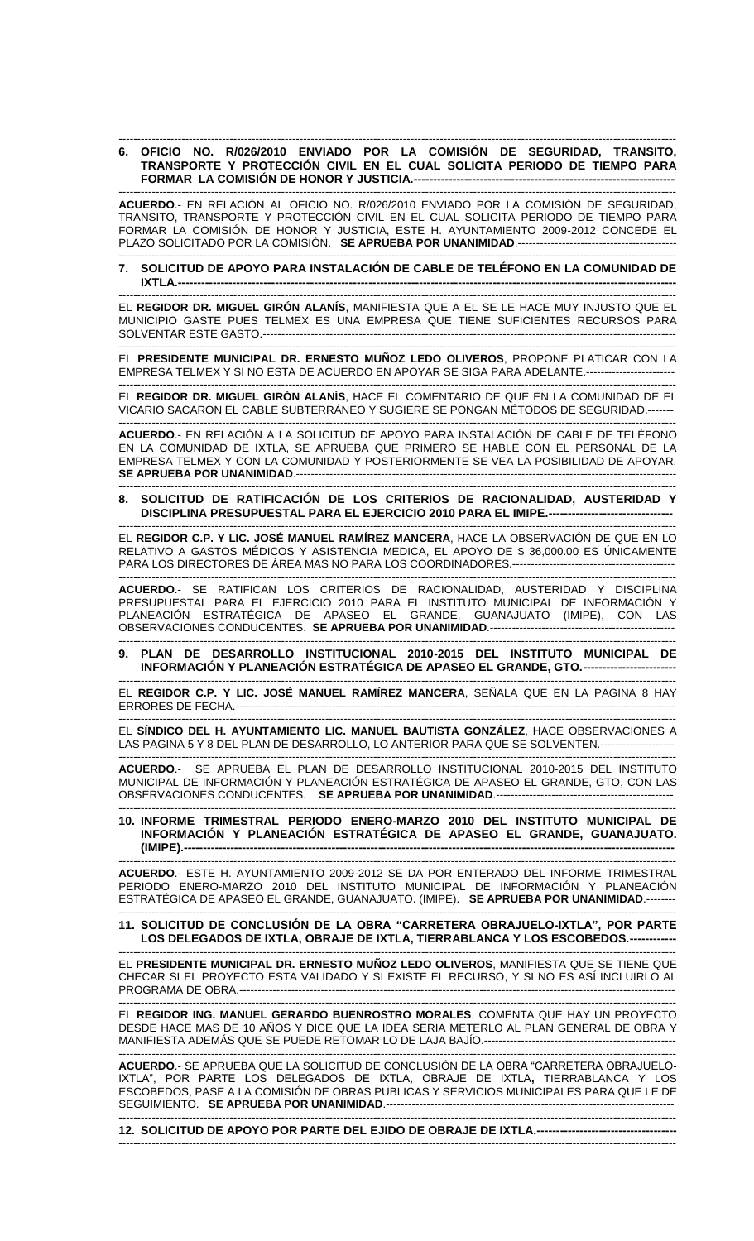### ------------------------------------------------------------------------------------------------------------------------------------------------------- 6. OFICIO NO. R/026/2010 ENVIADO POR LA COMISION DE SEGURIDAD, TRANSITO, **TRANSPORTE Y PROTECCIÓN CIVIL EN EL CUAL SOLICITA PERIODO DE TIEMPO PARA FORMAR LA COMISIÓN DE HONOR Y JUSTICIA.---**

------------------------------------------------------------------------------------------------------------------------------------------------------- **ACUERDO**.- EN RELACIÓN AL OFICIO NO. R/026/2010 ENVIADO POR LA COMISIÓN DE SEGURIDAD, TRANSITO, TRANSPORTE Y PROTECCIÓN CIVIL EN EL CUAL SOLICITA PERIODO DE TIEMPO PARA FORMAR LA COMISIÓN DE HONOR Y JUSTICIA, ESTE H. AYUNTAMIENTO 2009-2012 CONCEDE EL PLAZO SOLICITADO POR LA COMISIÓN. **SE APRUEBA POR UNANIMIDAD**.-------------------------------------------

### ------------------------------------------------------------------------------------------------------------------------------------------------------- **7. SOLICITUD DE APOYO PARA INSTALACIÓN DE CABLE DE TELÉFONO EN LA COMUNIDAD DE IXTLA.--------------------------------------------------------------------------------------------------------------------------------**

------------------------------------------------------------------------------------------------------------------------------------------------------- EL **REGIDOR DR. MIGUEL GIRÓN ALANÍS**, MANIFIESTA QUE A EL SE LE HACE MUY INJUSTO QUE EL MUNICIPIO GASTE PUES TELMEX ES UNA EMPRESA QUE TIENE SUFICIENTES RECURSOS PARA SOLVENTAR ESTE GASTO.----------------------------------------------------------------------------------------------------------------

------------------------------------------------------------------------------------------------------------------------------------------------------- EL **PRESIDENTE MUNICIPAL DR. ERNESTO MUÑOZ LEDO OLIVEROS**, PROPONE PLATICAR CON LA EMPRESA TELMEX Y SI NO ESTA DE ACUERDO EN APOYAR SE SIGA PARA ADELANTE.------------------------

------------------------------------------------------------------------------------------------------------------------------------------------------- EL **REGIDOR DR. MIGUEL GIRÓN ALANÍS**, HACE EL COMENTARIO DE QUE EN LA COMUNIDAD DE EL VICARIO SACARON EL CABLE SUBTERRÁNEO Y SUGIERE SE PONGAN MÉTODOS DE SEGURIDAD.---

------------------------------------------------------------------------------------------------------------------------------------------------------- **ACUERDO**.- EN RELACIÓN A LA SOLICITUD DE APOYO PARA INSTALACIÓN DE CABLE DE TELÉFONO EN LA COMUNIDAD DE IXTLA, SE APRUEBA QUE PRIMERO SE HABLE CON EL PERSONAL DE LA EMPRESA TELMEX Y CON LA COMUNIDAD Y POSTERIORMENTE SE VEA LA POSIBILIDAD DE APOYAR. **SE APRUEBA POR UNANIMIDAD**.-------------------------------------------------------------------------------------------------------

#### ------------------------------------------------------------------------------------------------------------------------------------------------------- **8. SOLICITUD DE RATIFICACIÓN DE LOS CRITERIOS DE RACIONALIDAD, AUSTERIDAD Y DISCIPLINA PRESUPUESTAL PARA EL EJERCICIO 2010 PARA EL IMIPE.--------------------------------**

------------------------------------------------------------------------------------------------------------------------------------------------------- EL **REGIDOR C.P. Y LIC. JOSÉ MANUEL RAMÍREZ MANCERA**, HACE LA OBSERVACIÓN DE QUE EN LO RELATIVO A GASTOS MÉDICOS Y ASISTENCIA MEDICA, EL APOYO DE \$ 36,000.00 ES ÚNICAMENTE PARA LOS DIRECTORES DE ÁREA MAS NO PARA LOS COORDINADORES.--------------------------------------------

------------------------------------------------------------------------------------------------------------------------------------------------------- **ACUERDO**.- SE RATIFICAN LOS CRITERIOS DE RACIONALIDAD, AUSTERIDAD Y DISCIPLINA PRESUPUESTAL PARA EL EJERCICIO 2010 PARA EL INSTITUTO MUNICIPAL DE INFORMACIÓN Y PLANEACIÓN ESTRATÉGICA DE APASEO EL GRANDE, GUANAJUATO (IMIPE), CON LAS OBSERVACIONES CONDUCENTES. **SE APRUEBA POR UNANIMIDAD**.--------------------------------------------------

------------------------------------------------------------------------------------------------------------------------------------------------------- **9. PLAN DE DESARROLLO INSTITUCIONAL 2010-2015 DEL INSTITUTO MUNICIPAL DE INFORMACIÓN Y PLANEACIÓN ESTRATÉGICA DE APASEO EL GRANDE, GTO.------------------------**

------------------------------------------------------------------------------------------------------------------------------------------------------- EL **REGIDOR C.P. Y LIC. JOSÉ MANUEL RAMÍREZ MANCERA**, SEÑALA QUE EN LA PAGINA 8 HAY ERRORES DE FECHA.------------------------

------------------------------------------------------------------------------------------------------------------------------------------------------- EL **SÍNDICO DEL H. AYUNTAMIENTO LIC. MANUEL BAUTISTA GONZÁLEZ**, HACE OBSERVACIONES A LAS PAGINA 5 Y 8 DEL PLAN DE DESARROLLO, LO ANTERIOR PARA QUE SE SOLVENTEN.--------------------

------------------------------------------------------------------------------------------------------------------------------------------------------- **ACUERDO**.- SE APRUEBA EL PLAN DE DESARROLLO INSTITUCIONAL 2010-2015 DEL INSTITUTO MUNICIPAL DE INFORMACIÓN Y PLANEACIÓN ESTRATÉGICA DE APASEO EL GRANDE, GTO, CON LAS OBSERVACIONES CONDUCENTES. **SE APRUEBA POR UNANIMIDAD**.------------------------------------------------

------------------------------------------------------------------------------------------------------------------------------------------------------- **10. INFORME TRIMESTRAL PERIODO ENERO-MARZO 2010 DEL INSTITUTO MUNICIPAL DE INFORMACIÓN Y PLANEACIÓN ESTRATÉGICA DE APASEO EL GRANDE, GUANAJUATO. (IMIPE).------------------------------------------------------------------------------------------------------------------------------**

------------------------------------------------------------------------------------------------------------------------------------------------------- **ACUERDO**.- ESTE H. AYUNTAMIENTO 2009-2012 SE DA POR ENTERADO DEL INFORME TRIMESTRAL PERIODO ENERO-MARZO 2010 DEL INSTITUTO MUNICIPAL DE INFORMACIÓN Y PLANEACIÓN ESTRATÉGICA DE APASEO EL GRANDE, GUANAJUATO. (IMIPE). **SE APRUEBA POR UNANIMIDAD**.-------- -------------------------------------------------------------------------------------------------------------------------------------------------------

**11. SOLICITUD DE CONCLUSIÓN DE LA OBRA "CARRETERA OBRAJUELO-IXTLA", POR PARTE**  LOS DELEGADOS DE IXTLA, OBRAJE DE IXTLA, TIERRABLANCA Y LOS ESCOBEDOS.--

------------------------------------------------------------------------------------------------------------------------------------------------------- EL **PRESIDENTE MUNICIPAL DR. ERNESTO MUÑOZ LEDO OLIVEROS**, MANIFIESTA QUE SE TIENE QUE CHECAR SI EL PROYECTO ESTA VALIDADO Y SI EXISTE EL RECURSO, Y SI NO ES ASÍ INCLUIRLO AL PROGRAMA DE OBRA.----------------------------------------------------------------------------------------------------------------------

------------------------------------------------------------------------------------------------------------------------------------------------------- EL **REGIDOR ING. MANUEL GERARDO BUENROSTRO MORALES**, COMENTA QUE HAY UN PROYECTO DESDE HACE MAS DE 10 AÑOS Y DICE QUE LA IDEA SERIA METERLO AL PLAN GENERAL DE OBRA Y MANIFIESTA ADEMÁS QUE SE PUEDE RETOMAR LO DE LAJA BAJÍO.----------------------------------------------------

------------------------------------------------------------------------------------------------------------------------------------------------------- **ACUERDO**.- SE APRUEBA QUE LA SOLICITUD DE CONCLUSIÓN DE LA OBRA "CARRETERA OBRAJUELO-IXTLA", POR PARTE LOS DELEGADOS DE IXTLA, OBRAJE DE IXTLA**,** TIERRABLANCA Y LOS ESCOBEDOS, PASE A LA COMISIÓN DE OBRAS PUBLICAS Y SERVICIOS MUNICIPALES PARA QUE LE DE SEGUIMIENTO. **SE APRUEBA POR UNANIMIDAD**.------------------------------------------------------------------------------

-------------------------------------------------------------------------------------------------------------------------------------------------------

-------------------------------------------------------------------------------------------------------------------------------------------------------

**12. SOLICITUD DE APOYO POR PARTE DEL EJIDO DE OBRAJE DE IXTLA.------------------------------------**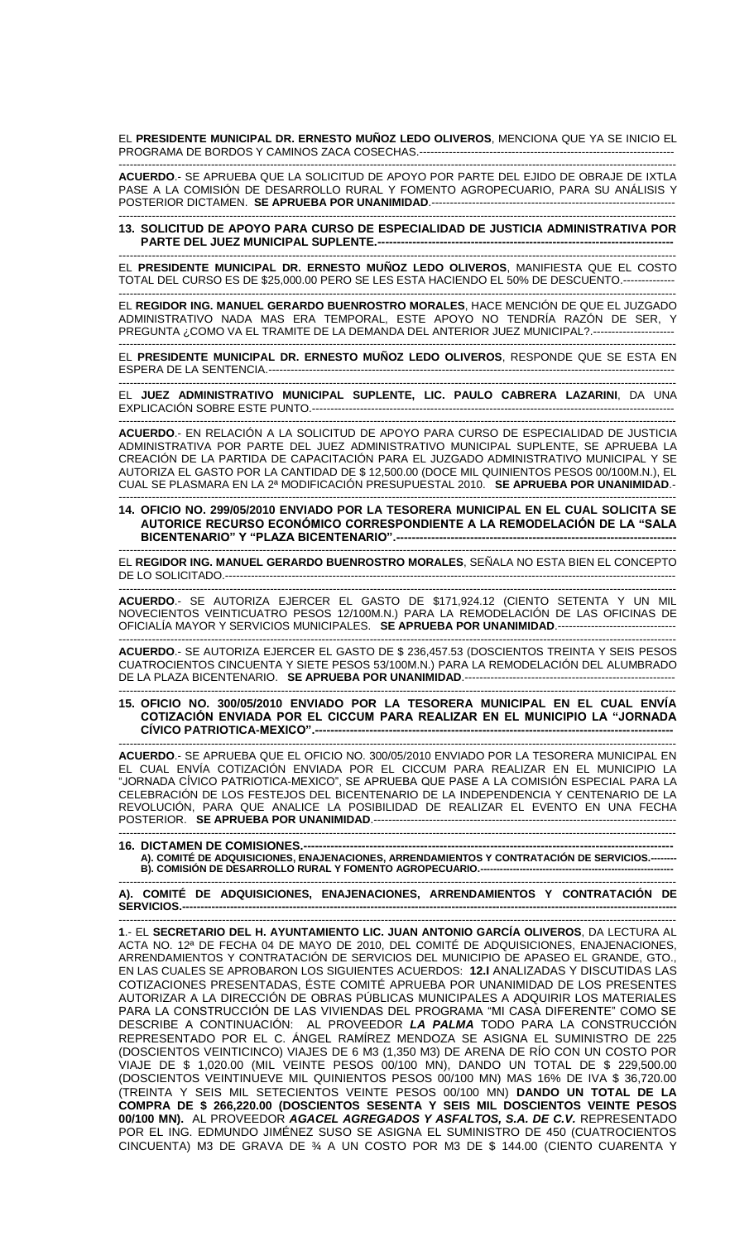EL **PRESIDENTE MUNICIPAL DR. ERNESTO MUÑOZ LEDO OLIVEROS**, MENCIONA QUE YA SE INICIO EL PROGRAMA DE BORDOS Y CAMINOS ZACA COSECHAS.------------------

------------------------------------------------------------------------------------------------------------------------------------------------------- **ACUERDO**.- SE APRUEBA QUE LA SOLICITUD DE APOYO POR PARTE DEL EJIDO DE OBRAJE DE IXTLA PASE A LA COMISIÓN DE DESARROLLO RURAL Y FOMENTO AGROPECUARIO, PARA SU ANÁLISIS Y POSTERIOR DICTAMEN. **SE APRUEBA POR UNANIMIDAD**.------------------------------------------------------------------

#### ------------------------------------------------------------------------------------------------------------------------------------------------------- **13. SOLICITUD DE APOYO PARA CURSO DE ESPECIALIDAD DE JUSTICIA ADMINISTRATIVA POR PARTE DEL JUEZ MUNICIPAL SUPLENTE.----------------------------**

------------------------------------------------------------------------------------------------------------------------------------------------------- EL **PRESIDENTE MUNICIPAL DR. ERNESTO MUÑOZ LEDO OLIVEROS**, MANIFIESTA QUE EL COSTO TOTAL DEL CURSO ES DE \$25,000.00 PERO SE LES ESTA HACIENDO EL 50% DE DESCUENTO.--------------

------------------------------------------------------------------------------------------------------------------------------------------------------- EL **REGIDOR ING. MANUEL GERARDO BUENROSTRO MORALES**, HACE MENCIÓN DE QUE EL JUZGADO ADMINISTRATIVO NADA MAS ERA TEMPORAL, ESTE APOYO NO TENDRÍA RAZÓN DE SER, Y PREGUNTA ¿COMO VA EL TRAMITE DE LA DEMANDA DEL ANTERIOR JUEZ MUNICIPAL?.----------------------

------------------------------------------------------------------------------------------------------------------------------------------------------- EL **PRESIDENTE MUNICIPAL DR. ERNESTO MUÑOZ LEDO OLIVEROS**, RESPONDE QUE SE ESTA EN ESPERA DE LA SENTENCIA.--------------------------------------------------------------------------------------------------------------

------------------------------------------------------------------------------------------------------------------------------------------------------- EL **JUEZ ADMINISTRATIVO MUNICIPAL SUPLENTE, LIC. PAULO CABRERA LAZARINI**, DA UNA EXPLICACIÓN SOBRE ESTE PUNTO.----------------------

------------------------------------------------------------------------------------------------------------------------------------------------------- **ACUERDO**.- EN RELACIÓN A LA SOLICITUD DE APOYO PARA CURSO DE ESPECIALIDAD DE JUSTICIA ADMINISTRATIVA POR PARTE DEL JUEZ ADMINISTRATIVO MUNICIPAL SUPLENTE, SE APRUEBA LA CREACIÓN DE LA PARTIDA DE CAPACITACIÓN PARA EL JUZGADO ADMINISTRATIVO MUNICIPAL Y SE AUTORIZA EL GASTO POR LA CANTIDAD DE \$ 12,500.00 (DOCE MIL QUINIENTOS PESOS 00/100M.N.), EL CUAL SE PLASMARA EN LA 2ª MODIFICACIÓN PRESUPUESTAL 2010. **SE APRUEBA POR UNANIMIDAD**.-

------------------------------------------------------------------------------------------------------------------------------------------------------- **14. OFICIO NO. 299/05/2010 ENVIADO POR LA TESORERA MUNICIPAL EN EL CUAL SOLICITA SE AUTORICE RECURSO ECONÓMICO CORRESPONDIENTE A LA REMODELACIÓN DE LA "SALA**  BICENTENARIO" Y "PLAZA BICENTENARIO".----

------------------------------------------------------------------------------------------------------------------------------------------------------- EL **REGIDOR ING. MANUEL GERARDO BUENROSTRO MORALES**, SEÑALA NO ESTA BIEN EL CONCEPTO DE LO SOLICITADO.--------------------------------------------------------------------------------------------------------------------------

------------------------------------------------------------------------------------------------------------------------------------------------------- **ACUERDO**.- SE AUTORIZA EJERCER EL GASTO DE \$171,924.12 (CIENTO SETENTA Y UN MIL NOVECIENTOS VEINTICUATRO PESOS 12/100M.N.) PARA LA REMODELACIÓN DE LAS OFICINAS DE OFICIALÍA MAYOR Y SERVICIOS MUNICIPALES. **SE APRUEBA POR UNANIMIDAD**.--------------------------------

------------------------------------------------------------------------------------------------------------------------------------------------------- **ACUERDO**.- SE AUTORIZA EJERCER EL GASTO DE \$ 236,457.53 (DOSCIENTOS TREINTA Y SEIS PESOS CUATROCIENTOS CINCUENTA Y SIETE PESOS 53/100M.N.) PARA LA REMODELACIÓN DEL ALUMBRADO DE LA PLAZA BICENTENARIO. **SE APRUEBA POR UNANIMIDAD**.---------------------------------------------------------

------------------------------------------------------------------------------------------------------------------------------------------------------- **15. OFICIO NO. 300/05/2010 ENVIADO POR LA TESORERA MUNICIPAL EN EL CUAL ENVÍA COTIZACIÓN ENVIADA POR EL CICCUM PARA REALIZAR EN EL MUNICIPIO LA "JORNADA CÍVICO PATRIOTICA-MEXICO".--------------------------------------------------------------------------------------------**

------------------------------------------------------------------------------------------------------------------------------------------------------- **ACUERDO**.- SE APRUEBA QUE EL OFICIO NO. 300/05/2010 ENVIADO POR LA TESORERA MUNICIPAL EN EL CUAL ENVÍA COTIZACIÓN ENVIADA POR EL CICCUM PARA REALIZAR EN EL MUNICIPIO LA "JORNADA CÍVICO PATRIOTICA-MEXICO", SE APRUEBA QUE PASE A LA COMISIÓN ESPECIAL PARA LA CELEBRACIÓN DE LOS FESTEJOS DEL BICENTENARIO DE LA INDEPENDENCIA Y CENTENARIO DE LA REVOLUCIÓN, PARA QUE ANALICE LA POSIBILIDAD DE REALIZAR EL EVENTO EN UNA FECHA POSTERIOR. **SE APRUEBA POR UNANIMIDAD.------------------------------**

**16. DICTAMEN DE COMISIONES.--**

**A). COMITÉ DE ADQUISICIONES, ENAJENACIONES, ARRENDAMIENTOS Y CONTRATACIÓN DE SERVICIOS.-------- B). COMISIÓN DE DESARROLLO RURAL Y FOMENTO AGROPECUARIO.-----------------------------------------------------------**

-------------------------------------------------------------------------------------------------------------------------------------------------------

------------------------------------------------------------------------------------------------------------------------------------------------------- **A). COMITÉ DE ADQUISICIONES, ENAJENACIONES, ARRENDAMIENTOS Y CONTRATACIÓN DE SERVICIOS.--------------------------------------------------------------------------------------------------------------------------------------**

------------------------------------------------------------------------------------------------------------------------------------------------------- **1**.- EL **SECRETARIO DEL H. AYUNTAMIENTO LIC. JUAN ANTONIO GARCÍA OLIVEROS**, DA LECTURA AL ACTA NO. 12ª DE FECHA 04 DE MAYO DE 2010, DEL COMITÉ DE ADQUISICIONES, ENAJENACIONES, ARRENDAMIENTOS Y CONTRATACIÓN DE SERVICIOS DEL MUNICIPIO DE APASEO EL GRANDE, GTO., EN LAS CUALES SE APROBARON LOS SIGUIENTES ACUERDOS: **12.I** ANALIZADAS Y DISCUTIDAS LAS COTIZACIONES PRESENTADAS, ÉSTE COMITÉ APRUEBA POR UNANIMIDAD DE LOS PRESENTES AUTORIZAR A LA DIRECCIÓN DE OBRAS PÚBLICAS MUNICIPALES A ADQUIRIR LOS MATERIALES PARA LA CONSTRUCCIÓN DE LAS VIVIENDAS DEL PROGRAMA "MI CASA DIFERENTE" COMO SE DESCRIBE A CONTINUACIÓN: AL PROVEEDOR *LA PALMA* TODO PARA LA CONSTRUCCIÓN REPRESENTADO POR EL C. ÁNGEL RAMÍREZ MENDOZA SE ASIGNA EL SUMINISTRO DE 225 (DOSCIENTOS VEINTICINCO) VIAJES DE 6 M3 (1,350 M3) DE ARENA DE RÍO CON UN COSTO POR VIAJE DE \$ 1,020.00 (MIL VEINTE PESOS 00/100 MN), DANDO UN TOTAL DE \$ 229,500.00 (DOSCIENTOS VEINTINUEVE MIL QUINIENTOS PESOS 00/100 MN) MAS 16% DE IVA \$ 36,720.00 (TREINTA Y SEIS MIL SETECIENTOS VEINTE PESOS 00/100 MN) **DANDO UN TOTAL DE LA COMPRA DE \$ 266,220.00 (DOSCIENTOS SESENTA Y SEIS MIL DOSCIENTOS VEINTE PESOS 00/100 MN).** AL PROVEEDOR *AGACEL AGREGADOS Y ASFALTOS, S.A. DE C.V.* REPRESENTADO POR EL ING. EDMUNDO JIMÉNEZ SUSO SE ASIGNA EL SUMINISTRO DE 450 (CUATROCIENTOS CINCUENTA) M3 DE GRAVA DE ¾ A UN COSTO POR M3 DE \$ 144.00 (CIENTO CUARENTA Y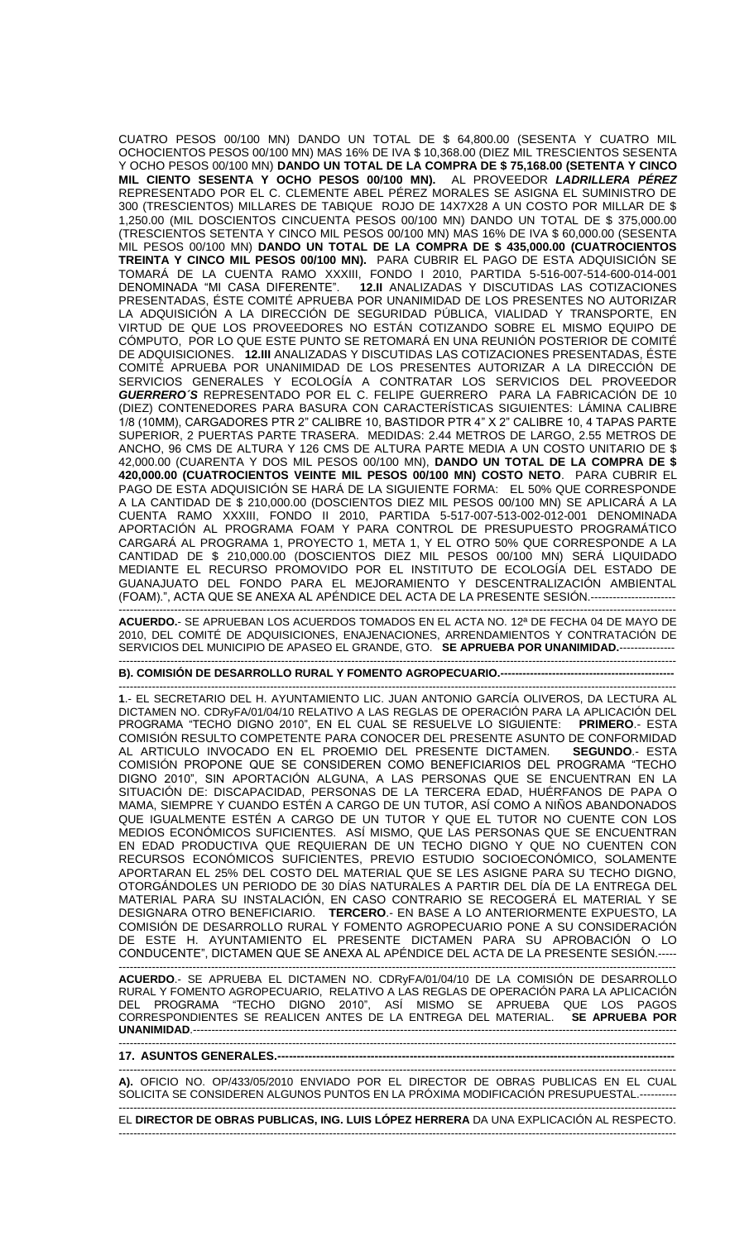CUATRO PESOS 00/100 MN) DANDO UN TOTAL DE \$ 64,800.00 (SESENTA Y CUATRO MIL OCHOCIENTOS PESOS 00/100 MN) MAS 16% DE IVA \$ 10,368.00 (DIEZ MIL TRESCIENTOS SESENTA Y OCHO PESOS 00/100 MN) **DANDO UN TOTAL DE LA COMPRA DE \$ 75,168.00 (SETENTA Y CINCO MIL CIENTO SESENTA Y OCHO PESOS 00/100 MN).** AL PROVEEDOR *LADRILLERA PÉREZ* REPRESENTADO POR EL C. CLEMENTE ABEL PÉREZ MORALES SE ASIGNA EL SUMINISTRO DE 300 (TRESCIENTOS) MILLARES DE TABIQUE ROJO DE 14X7X28 A UN COSTO POR MILLAR DE \$ 1,250.00 (MIL DOSCIENTOS CINCUENTA PESOS 00/100 MN) DANDO UN TOTAL DE \$ 375,000.00 (TRESCIENTOS SETENTA Y CINCO MIL PESOS 00/100 MN) MAS 16% DE IVA \$ 60,000.00 (SESENTA MIL PESOS 00/100 MN) **DANDO UN TOTAL DE LA COMPRA DE \$ 435,000.00 (CUATROCIENTOS TREINTA Y CINCO MIL PESOS 00/100 MN).** PARA CUBRIR EL PAGO DE ESTA ADQUISICIÓN SE TOMARÁ DE LA CUENTA RAMO XXXIII, FONDO I 2010, PARTIDA 5-516-007-514-600-014-001 DENOMINADA "MI CASA DIFERENTE". **12.II** ANALIZADAS Y DISCUTIDAS LAS COTIZACIONES PRESENTADAS, ÉSTE COMITÉ APRUEBA POR UNANIMIDAD DE LOS PRESENTES NO AUTORIZAR LA ADQUISICIÓN A LA DIRECCIÓN DE SEGURIDAD PÚBLICA, VIALIDAD Y TRANSPORTE, EN VIRTUD DE QUE LOS PROVEEDORES NO ESTÁN COTIZANDO SOBRE EL MISMO EQUIPO DE CÓMPUTO, POR LO QUE ESTE PUNTO SE RETOMARÁ EN UNA REUNIÓN POSTERIOR DE COMITÉ DE ADQUISICIONES. **12.III** ANALIZADAS Y DISCUTIDAS LAS COTIZACIONES PRESENTADAS, ÉSTE COMITÉ APRUEBA POR UNANIMIDAD DE LOS PRESENTES AUTORIZAR A LA DIRECCIÓN DE SERVICIOS GENERALES Y ECOLOGÍA A CONTRATAR LOS SERVICIOS DEL PROVEEDOR *GUERRERO´S* REPRESENTADO POR EL C. FELIPE GUERRERO PARA LA FABRICACIÓN DE 10 (DIEZ) CONTENEDORES PARA BASURA CON CARACTERÍSTICAS SIGUIENTES: LÁMINA CALIBRE 1/8 (10MM), CARGADORES PTR 2" CALIBRE 10, BASTIDOR PTR 4" X 2" CALIBRE 10, 4 TAPAS PARTE SUPERIOR, 2 PUERTAS PARTE TRASERA. MEDIDAS: 2.44 METROS DE LARGO, 2.55 METROS DE ANCHO, 96 CMS DE ALTURA Y 126 CMS DE ALTURA PARTE MEDIA A UN COSTO UNITARIO DE \$ 42,000.00 (CUARENTA Y DOS MIL PESOS 00/100 MN), **DANDO UN TOTAL DE LA COMPRA DE \$ 420,000.00 (CUATROCIENTOS VEINTE MIL PESOS 00/100 MN) COSTO NETO**. PARA CUBRIR EL PAGO DE ESTA ADQUISICIÓN SE HARÁ DE LA SIGUIENTE FORMA: EL 50% QUE CORRESPONDE A LA CANTIDAD DE \$ 210,000.00 (DOSCIENTOS DIEZ MIL PESOS 00/100 MN) SE APLICARÁ A LA CUENTA RAMO XXXIII, FONDO II 2010, PARTIDA 5-517-007-513-002-012-001 DENOMINADA APORTACIÓN AL PROGRAMA FOAM Y PARA CONTROL DE PRESUPUESTO PROGRAMÁTICO CARGARÁ AL PROGRAMA 1, PROYECTO 1, META 1, Y EL OTRO 50% QUE CORRESPONDE A LA CANTIDAD DE \$ 210,000.00 (DOSCIENTOS DIEZ MIL PESOS 00/100 MN) SERÁ LIQUIDADO MEDIANTE EL RECURSO PROMOVIDO POR EL INSTITUTO DE ECOLOGÍA DEL ESTADO DE GUANAJUATO DEL FONDO PARA EL MEJORAMIENTO Y DESCENTRALIZACIÓN AMBIENTAL (FOAM).", ACTA QUE SE ANEXA AL APÉNDICE DEL ACTA DE LA PRESENTE SESIÓN.-----------------------

------------------------------------------------------------------------------------------------------------------------------------------------------- **ACUERDO.**- SE APRUEBAN LOS ACUERDOS TOMADOS EN EL ACTA NO. 12ª DE FECHA 04 DE MAYO DE 2010, DEL COMITÉ DE ADQUISICIONES, ENAJENACIONES, ARRENDAMIENTOS Y CONTRATACIÓN DE SERVICIOS DEL MUNICIPIO DE APASEO EL GRANDE, GTO. **SE APRUEBA POR UNANIMIDAD.**---------------

#### ------------------------------------------------------------------------------------------------------------------------------------------------------- **B). COMISIÓN DE DESARROLLO RURAL Y FOMENTO AGROPECUARIO.------**

------------------------------------------------------------------------------------------------------------------------------------------------------- **1**.- EL SECRETARIO DEL H. AYUNTAMIENTO LIC. JUAN ANTONIO GARCÍA OLIVEROS, DA LECTURA AL DICTAMEN NO. CDRyFA/01/04/10 RELATIVO A LAS REGLAS DE OPERACIÓN PARA LA APLICACIÓN DEL PROGRAMA "TECHO DIGNO 2010", EN EL CUAL SE RESUELVE LO SIGUIENTE: **PRIMERO**.- ESTA COMISIÓN RESULTO COMPETENTE PARA CONOCER DEL PRESENTE ASUNTO DE CONFORMIDAD AL ARTICULO INVOCADO EN EL PROEMIO DEL PRESENTE DICTAMEN. **SEGUNDO**.- ESTA COMISIÓN PROPONE QUE SE CONSIDEREN COMO BENEFICIARIOS DEL PROGRAMA "TECHO DIGNO 2010", SIN APORTACIÓN ALGUNA, A LAS PERSONAS QUE SE ENCUENTRAN EN LA SITUACIÓN DE: DISCAPACIDAD, PERSONAS DE LA TERCERA EDAD, HUÉRFANOS DE PAPA O MAMA, SIEMPRE Y CUANDO ESTEN A CARGO DE UN TUTOR, ASÍ COMO A NINOS ABANDONADOS QUE IGUALMENTE ESTÉN A CARGO DE UN TUTOR Y QUE EL TUTOR NO CUENTE CON LOS MEDIOS ECONÓMICOS SUFICIENTES. ASÍ MISMO, QUE LAS PERSONAS QUE SE ENCUENTRAN EN EDAD PRODUCTIVA QUE REQUIERAN DE UN TECHO DIGNO Y QUE NO CUENTEN CON RECURSOS ECONÓMICOS SUFICIENTES, PREVIO ESTUDIO SOCIOECONÓMICO, SOLAMENTE APORTARAN EL 25% DEL COSTO DEL MATERIAL QUE SE LES ASIGNE PARA SU TECHO DIGNO, OTORGÁNDOLES UN PERIODO DE 30 DÍAS NATURALES A PARTIR DEL DÍA DE LA ENTREGA DEL MATERIAL PARA SU INSTALACIÓN, EN CASO CONTRARIO SE RECOGERÁ EL MATERIAL Y SE DESIGNARA OTRO BENEFICIARIO. **TERCERO**.- EN BASE A LO ANTERIORMENTE EXPUESTO, LA COMISIÓN DE DESARROLLO RURAL Y FOMENTO AGROPECUARIO PONE A SU CONSIDERACIÓN DE ESTE H. AYUNTAMIENTO EL PRESENTE DICTAMEN PARA SU APROBACIÓN O LO CONDUCENTE", DICTAMEN QUE SE ANEXA AL APÉNDICE DEL ACTA DE LA PRESENTE SESIÓN.-----

------------------------------------------------------------------------------------------------------------------------------------------------------- **ACUERDO**.- SE APRUEBA EL DICTAMEN NO. CDRyFA/01/04/10 DE LA COMISIÓN DE DESARROLLO RURAL Y FOMENTO AGROPECUARIO, RELATIVO A LAS REGLAS DE OPERACIÓN PARA LA APLICACIÓN DEL PROGRAMA "TECHO DIGNO 2010", ASÍ MISMO SE APRUEBA QUE LOS PAGOS CORRESPONDIENTES SE REALICEN ANTES DE LA ENTREGA DEL MATERIAL. **SE APRUEBA POR UNANIMIDAD.----**

-------------------------------------------------------------------------------------------------------------------------------------------------------

**17. ASUNTOS GENERALES.----**

------------------------------------------------------------------------------------------------------------------------------------------------------- **A).** OFICIO NO. OP/433/05/2010 ENVIADO POR EL DIRECTOR DE OBRAS PUBLICAS EN EL CUAL SOLICITA SE CONSIDEREN ALGUNOS PUNTOS EN LA PRÓXIMA MODIFICACIÓN PRESUPUESTAL.---------- -------------------------------------------------------------------------------------------------------------------------------------------------------

EL **DIRECTOR DE OBRAS PUBLICAS, ING. LUIS LÓPEZ HERRERA** DA UNA EXPLICACIÓN AL RESPECTO. -------------------------------------------------------------------------------------------------------------------------------------------------------